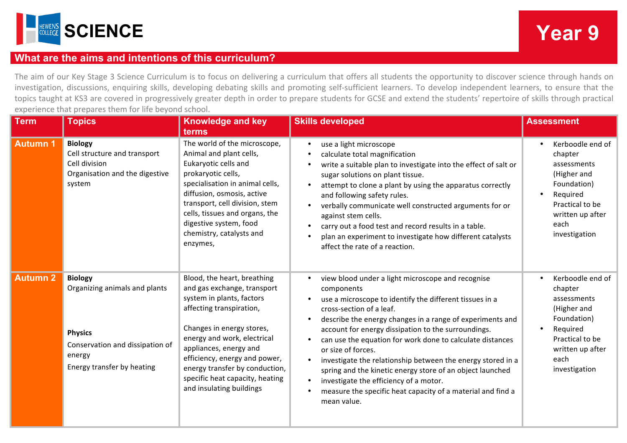

## **What are the aims and intentions of this curriculum?**

The aim of our Key Stage 3 Science Curriculum is to focus on delivering a curriculum that offers all students the opportunity to discover science through hands on investigation, discussions, enquiring skills, developing debating skills and promoting self-sufficient learners. To develop independent learners, to ensure that the topics taught at KS3 are covered in progressively greater depth in order to prepare students for GCSE and extend the students' repertoire of skills through practical experience that prepares them for life beyond school.

| <b>Term</b>     | <b>Topics</b>                                                                                                                                | <b>Knowledge and key</b><br>terms                                                                                                                                                                                                                                                                                                           | <b>Skills developed</b>                                                                                                                                                                                                                                                                                                                                                                                                                                                                                                                                                                                                                                                            | <b>Assessment</b>                                                                                                                                    |
|-----------------|----------------------------------------------------------------------------------------------------------------------------------------------|---------------------------------------------------------------------------------------------------------------------------------------------------------------------------------------------------------------------------------------------------------------------------------------------------------------------------------------------|------------------------------------------------------------------------------------------------------------------------------------------------------------------------------------------------------------------------------------------------------------------------------------------------------------------------------------------------------------------------------------------------------------------------------------------------------------------------------------------------------------------------------------------------------------------------------------------------------------------------------------------------------------------------------------|------------------------------------------------------------------------------------------------------------------------------------------------------|
| <b>Autumn 1</b> | <b>Biology</b><br>Cell structure and transport<br>Cell division<br>Organisation and the digestive<br>system                                  | The world of the microscope,<br>Animal and plant cells,<br>Eukaryotic cells and<br>prokaryotic cells,<br>specialisation in animal cells,<br>diffusion, osmosis, active<br>transport, cell division, stem<br>cells, tissues and organs, the<br>digestive system, food<br>chemistry, catalysts and<br>enzymes,                                | use a light microscope<br>$\bullet$<br>calculate total magnification<br>$\bullet$<br>write a suitable plan to investigate into the effect of salt or<br>$\bullet$<br>sugar solutions on plant tissue.<br>attempt to clone a plant by using the apparatus correctly<br>and following safety rules.<br>verbally communicate well constructed arguments for or<br>$\bullet$<br>against stem cells.<br>carry out a food test and record results in a table.<br>plan an experiment to investigate how different catalysts<br>affect the rate of a reaction.                                                                                                                             | Kerboodle end of<br>chapter<br>assessments<br>(Higher and<br>Foundation)<br>Required<br>Practical to be<br>written up after<br>each<br>investigation |
| <b>Autumn 2</b> | <b>Biology</b><br>Organizing animals and plants<br><b>Physics</b><br>Conservation and dissipation of<br>energy<br>Energy transfer by heating | Blood, the heart, breathing<br>and gas exchange, transport<br>system in plants, factors<br>affecting transpiration,<br>Changes in energy stores,<br>energy and work, electrical<br>appliances, energy and<br>efficiency, energy and power,<br>energy transfer by conduction,<br>specific heat capacity, heating<br>and insulating buildings | view blood under a light microscope and recognise<br>components<br>use a microscope to identify the different tissues in a<br>cross-section of a leaf.<br>describe the energy changes in a range of experiments and<br>$\bullet$<br>account for energy dissipation to the surroundings.<br>can use the equation for work done to calculate distances<br>$\bullet$<br>or size of forces.<br>investigate the relationship between the energy stored in a<br>$\bullet$<br>spring and the kinetic energy store of an object launched<br>investigate the efficiency of a motor.<br>$\bullet$<br>measure the specific heat capacity of a material and find a<br>$\bullet$<br>mean value. | Kerboodle end of<br>chapter<br>assessments<br>(Higher and<br>Foundation)<br>Required<br>Practical to be<br>written up after<br>each<br>investigation |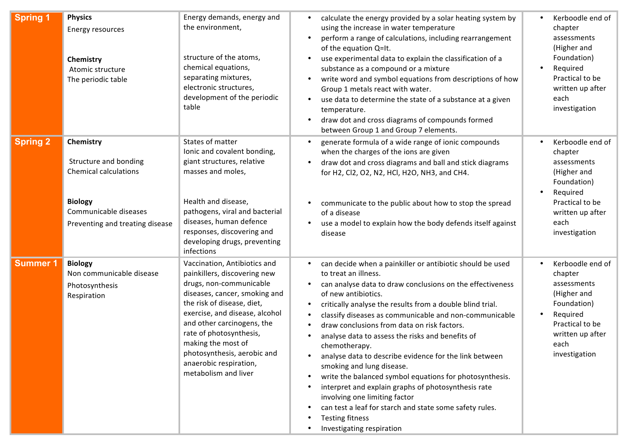| <b>Spring 1</b> | <b>Physics</b><br><b>Energy resources</b><br>Chemistry<br>Atomic structure<br>The periodic table                                                 | Energy demands, energy and<br>the environment,<br>structure of the atoms,<br>chemical equations,<br>separating mixtures,<br>electronic structures,<br>development of the periodic<br>table                                                                                                                                                               | calculate the energy provided by a solar heating system by<br>$\bullet$<br>using the increase in water temperature<br>perform a range of calculations, including rearrangement<br>$\bullet$<br>of the equation Q=It.<br>use experimental data to explain the classification of a<br>$\bullet$<br>substance as a compound or a mixture<br>write word and symbol equations from descriptions of how<br>$\bullet$<br>Group 1 metals react with water.<br>use data to determine the state of a substance at a given<br>$\bullet$<br>temperature.<br>draw dot and cross diagrams of compounds formed<br>$\bullet$<br>between Group 1 and Group 7 elements.                                                                                                                                                                                                                             | Kerboodle end of<br>chapter<br>assessments<br>(Higher and<br>Foundation)<br>Required<br>Practical to be<br>written up after<br>each<br>investigation |
|-----------------|--------------------------------------------------------------------------------------------------------------------------------------------------|----------------------------------------------------------------------------------------------------------------------------------------------------------------------------------------------------------------------------------------------------------------------------------------------------------------------------------------------------------|-----------------------------------------------------------------------------------------------------------------------------------------------------------------------------------------------------------------------------------------------------------------------------------------------------------------------------------------------------------------------------------------------------------------------------------------------------------------------------------------------------------------------------------------------------------------------------------------------------------------------------------------------------------------------------------------------------------------------------------------------------------------------------------------------------------------------------------------------------------------------------------|------------------------------------------------------------------------------------------------------------------------------------------------------|
| <b>Spring 2</b> | Chemistry<br>Structure and bonding<br><b>Chemical calculations</b><br><b>Biology</b><br>Communicable diseases<br>Preventing and treating disease | States of matter<br>Ionic and covalent bonding,<br>giant structures, relative<br>masses and moles,<br>Health and disease,<br>pathogens, viral and bacterial<br>diseases, human defence<br>responses, discovering and<br>developing drugs, preventing<br>infections                                                                                       | generate formula of a wide range of ionic compounds<br>$\bullet$<br>when the charges of the ions are given<br>draw dot and cross diagrams and ball and stick diagrams<br>$\bullet$<br>for H2, Cl2, O2, N2, HCl, H2O, NH3, and CH4.<br>communicate to the public about how to stop the spread<br>$\bullet$<br>of a disease<br>use a model to explain how the body defends itself against<br>$\bullet$<br>disease                                                                                                                                                                                                                                                                                                                                                                                                                                                                   | Kerboodle end of<br>chapter<br>assessments<br>(Higher and<br>Foundation)<br>Required<br>Practical to be<br>written up after<br>each<br>investigation |
| <b>Summer 1</b> | <b>Biology</b><br>Non communicable disease<br>Photosynthesis<br>Respiration                                                                      | Vaccination, Antibiotics and<br>painkillers, discovering new<br>drugs, non-communicable<br>diseases, cancer, smoking and<br>the risk of disease, diet,<br>exercise, and disease, alcohol<br>and other carcinogens, the<br>rate of photosynthesis,<br>making the most of<br>photosynthesis, aerobic and<br>anaerobic respiration,<br>metabolism and liver | can decide when a painkiller or antibiotic should be used<br>٠<br>to treat an illness.<br>can analyse data to draw conclusions on the effectiveness<br>$\bullet$<br>of new antibiotics.<br>critically analyse the results from a double blind trial.<br>$\bullet$<br>classify diseases as communicable and non-communicable<br>$\bullet$<br>draw conclusions from data on risk factors.<br>$\bullet$<br>analyse data to assess the risks and benefits of<br>$\bullet$<br>chemotherapy.<br>analyse data to describe evidence for the link between<br>$\bullet$<br>smoking and lung disease.<br>write the balanced symbol equations for photosynthesis.<br>interpret and explain graphs of photosynthesis rate<br>$\bullet$<br>involving one limiting factor<br>can test a leaf for starch and state some safety rules.<br><b>Testing fitness</b><br>٠<br>Investigating respiration | Kerboodle end of<br>chapter<br>assessments<br>(Higher and<br>Foundation)<br>Required<br>Practical to be<br>written up after<br>each<br>investigation |